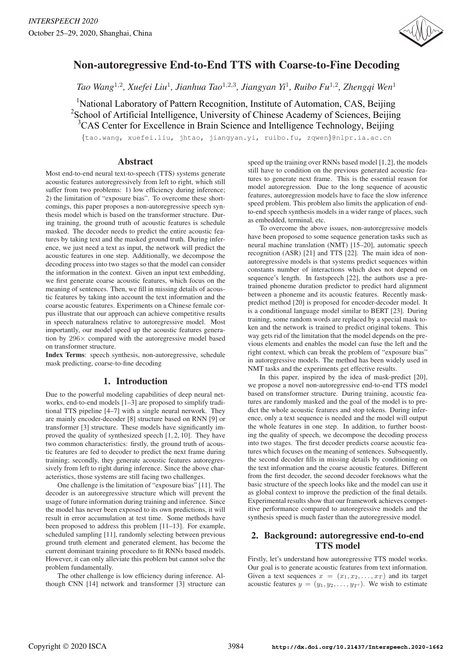

# Non-autoregressive End-to-End TTS with Coarse-to-Fine Decoding

*Tao Wang*<sup>1</sup>,<sup>2</sup>*, Xuefei Liu*<sup>1</sup>*, Jianhua Tao*<sup>1</sup>,2,<sup>3</sup>*, Jiangyan Yi*<sup>1</sup>*, Ruibo Fu*<sup>1</sup>,<sup>2</sup>*, Zhengqi Wen*<sup>1</sup>

<sup>1</sup>National Laboratory of Pattern Recognition, Institute of Automation, CAS, Beijing <sup>2</sup>School of Artificial Intelligence, University of Chinese Academy of Sciences, Beijing <sup>3</sup>CAS Center for Excellence in Brain Science and Intelligence Technology, Beijing

{tao.wang, xuefei.liu, jhtao, jiangyan.yi, ruibo.fu, zqwen}@nlpr.ia.ac.cn

## Abstract

Most end-to-end neural text-to-speech (TTS) systems generate acoustic features autoregressively from left to right, which still suffer from two problems: 1) low efficiency during inference; 2) the limitation of "exposure bias". To overcome these shortcomings, this paper proposes a non-autoregressive speech synthesis model which is based on the transformer structure. During training, the ground truth of acoustic features is schedule masked. The decoder needs to predict the entire acoustic features by taking text and the masked ground truth. During inference, we just need a text as input, the network will predict the acoustic features in one step. Additionally, we decompose the decoding process into two stages so that the model can consider the information in the context. Given an input text embedding, we first generate coarse acoustic features, which focus on the meaning of sentences. Then, we fill in missing details of acoustic features by taking into account the text information and the coarse acoustic features. Experiments on a Chinese female corpus illustrate that our approach can achieve competitive results in speech naturalness relative to autoregressive model. Most importantly, our model speed up the acoustic features generation by  $296\times$  compared with the autoregressive model based on transformer structure.

Index Terms: speech synthesis, non-autoregressive, schedule mask predicting, coarse-to-fine decoding

# 1. Introduction

Due to the powerful modeling capabilities of deep neural networks, end-to-end models [1–3] are proposed to simplify traditional TTS pipeline [4–7] with a single neural nerwork. They are mainly encoder-decoder [8] structure based on RNN [9] or transformer [3] structure. These models have significantly improved the quality of synthesized speech [1, 2, 10]. They have two common characteristics: firstly, the ground truth of acoustic features are fed to decoder to predict the next frame during training; secondly, they generate acoustic features autoregressively from left to right during inference. Since the above characteristics, those systems are still facing two challenges.

One challenge is the limitation of "exposure bias" [11]. The decoder is an autoregressive structure which will prevent the usage of future information during training and inference. Since the model has never been exposed to its own predictions, it will result in error accumulation at test time. Some methods have been proposed to address this problem [11–13]. For example, scheduled sampling [11], randomly selecting between previous ground truth element and generated element, has become the current dominant training procedure to fit RNNs based models. However, it can only alleviate this problem but cannot solve the problem fundamentally.

The other challenge is low efficiency during inference. Although CNN [14] network and transformer [3] structure can speed up the training over RNNs based model [1,2], the models still have to condition on the previous generated acoustic features to generate next frame. This is the essential reason for model autoregression. Due to the long sequence of acoustic features, autoregression models have to face the slow inference speed problem. This problem also limits the application of endto-end speech synthesis models in a wider range of places, such as embedded, terminal, etc.

To overcome the above issues, non-autoregressive models have been proposed to some sequence generation tasks such as neural machine translation (NMT) [15–20], automatic speech recognition (ASR) [21] and TTS [22]. The main idea of nonautoregressive models is that systems predict sequences within constants number of interactions which does not depend on sequence's length. In fastspeech [22], the authors use a pretrained phoneme duration predictor to predict hard alignment between a phoneme and its acoustic features. Recently maskpredict method [20] is proposed for encoder-decoder model. It is a conditional language model similar to BERT [23]. During training, some random words are replaced by a special mask token and the network is trained to predict original tokens. This way gets rid of the limitation that the model depends on the previous elements and enables the model can fuse the left and the right context, which can break the problem of "exposure bias" in autoregressive models. The method has been widely used in NMT tasks and the experiments get effective results.

In this paper, inspired by the idea of mask-predict [20], we propose a novel non-autoregressive end-to-end TTS model based on transformer structure. During training, acoustic features are randomly masked and the goal of the model is to predict the whole acoustic features and stop tokens. During inference, only a text sequence is needed and the model will output the whole features in one step. In addition, to further boosting the quality of speech, we decompose the decoding process into two stages. The first decoder predicts coarse acoustic features which focuses on the meaning of sentences. Subsequently, the second decoder fills in missing details by conditioning on the text information and the coarse acoustic features. Different from the first decoder, the second decoder foreknows what the basic structure of the speech looks like and the model can use it as global context to improve the prediction of the final details. Experimental results show that our framework achieves competitive performance compared to autoregressive models and the synthesis speed is much faster than the autoregressive model.

# 2. Background: autoregressive end-to-end TTS model

Firstly, let's understand how autoregressive TTS model works. Our goal is to generate acoustic features from text information. Given a text sequences  $x = (x_1, x_2, \ldots, x_T)$  and its target acoustic features  $y = (y_1, y_2, \dots, y_{T'})$ . We wish to estimate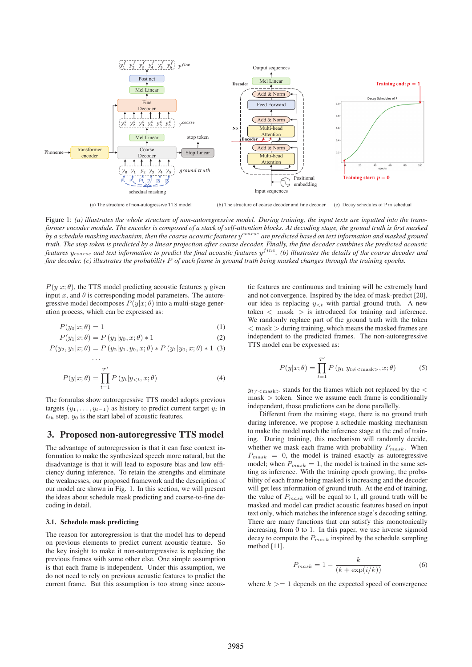

(a) The structure of non-autogressive TTS model (b) The structure of coarse decoder and fine decoder (c) Decay schedules of P in schedual

Figure 1: *(a) illustrates the whole structure of non-autoregressive model. During training, the input texts are inputted into the transformer encoder module. The encoder is composed of a stack of self-attention blocks. At decoding stage, the ground truth is first masked* by a schedule masking mechanism, then the coarse acoustic features  $y^{coarse}$  are predicted based on text information and masked ground *truth. The stop token is predicted by a linear projection after coarse decoder. Finally, the fine decoder combines the predicted acoustic features*  $y_{coarse}$  and text information to predict the final acoustic features  $y^{fine}$ . (b) illustrates the details of the coarse decoder and *fine decoder. (c) illustrates the probability* P *of each frame in ground truth being masked changes through the training epochs.*

 $P(y|x; \theta)$ , the TTS model predicting acoustic features y given input  $x$ , and  $\theta$  is corresponding model parameters. The autoregressive model decomposes  $P(y|x; \theta)$  into a multi-stage generation process, which can be expressed as:

$$
P(y_0|x; \theta) = 1 \tag{1}
$$

$$
P(y_1|x; \theta) = P(y_1|y_0, x; \theta) * 1
$$
 (2)

$$
P(y_2, y_1 | x; \theta) = P(y_2 | y_1, y_0, x; \theta) * P(y_1 | y_0, x; \theta) * 1
$$
 (3)

$$
P(y|x; \theta) = \prod_{t=1}^{T'} P(y_t | y_{< t}, x; \theta)
$$
\n<sup>(4)</sup>

The formulas show autoregressive TTS model adopts previous targets  $(y_1, \ldots, y_{t-1})$  as history to predict current target  $y_t$  in  $t_{th}$  step.  $y_0$  is the start label of acoustic features.

# 3. Proposed non-autoregressive TTS model

The advantage of autoregression is that it can fuse context information to make the synthesized speech more natural, but the disadvantage is that it will lead to exposure bias and low efficiency during inference. To retain the strengths and eliminate the weaknesses, our proposed framework and the description of our model are shown in Fig. 1. In this section, we will present the ideas about schedule mask predicting and coarse-to-fine decoding in detail.

#### 3.1. Schedule mask predicting

···

The reason for autoregression is that the model has to depend on previous elements to predict current acoustic feature. So the key insight to make it non-autoregressive is replacing the previous frames with some other else. One simple assumption is that each frame is independent. Under this assumption, we do not need to rely on previous acoustic features to predict the current frame. But this assumption is too strong since acoustic features are continuous and training will be extremely hard and not convergence. Inspired by the idea of mask-predict [20], our idea is replacing  $y_{\leq t}$  with partial ground truth. A new token  $\langle$  mask  $\rangle$  is introduced for training and inference. We randomly replace part of the ground truth with the token  $<$  mask  $>$  during training, which means the masked frames are independent to the predicted frames. The non-autoregressive TTS model can be expressed as:

$$
P(y|x; \theta) = \prod_{t=1}^{T'} P(y_t | y_{t \neq \text{mask} >}, x; \theta)
$$
 (5)

 $y_{t\neq\text{}$  stands for the frames which not replaced by the  $\lt$  $mask$   $>$  token. Since we assume each frame is conditionally independent, those predictions can be done parallelly.

Different from the training stage, there is no ground truth during inference, we propose a schedule masking mechanism to make the model match the inference stage at the end of training. During training, this mechanism will randomly decide, whether we mask each frame with probability  $P_{mask}$ . When  $P_{mask} = 0$ , the model is trained exactly as autoregressive model; when  $P_{mask} = 1$ , the model is trained in the same setting as inference. With the training epoch growing, the probability of each frame being masked is increasing and the decoder will get less information of ground truth. At the end of training, the value of  $P_{mask}$  will be equal to 1, all ground truth will be masked and model can predict acoustic features based on input text only, which matches the inference stage's decoding setting. There are many functions that can satisfy this monotonically increasing from 0 to 1. In this paper, we use inverse sigmoid decay to compute the  $P_{mask}$  inspired by the schedule sampling method [11].

$$
P_{mask} = 1 - \frac{k}{(k + \exp(i/k))}
$$
 (6)

where  $k \geq 1$  depends on the expected speed of convergence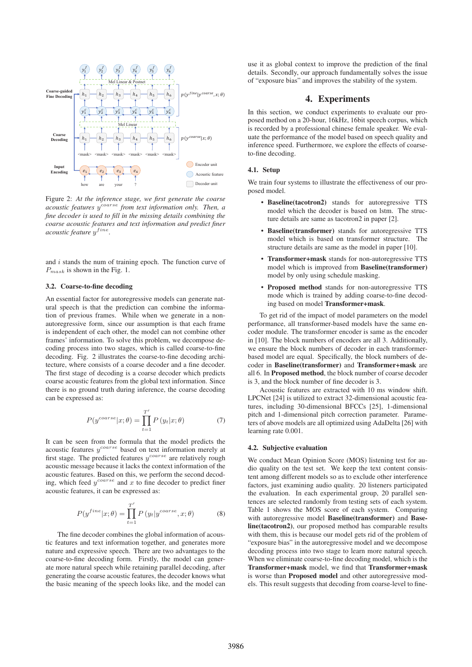

Figure 2: *At the inference stage, we first generate the coarse acoustic features* ycoarse *from text information only. Then, a fine decoder is used to fill in the missing details combining the coarse acoustic features and text information and predict finer acoustic feature*  $y^{fine}$ .

and  $i$  stands the num of training epoch. The function curve of  $P_{mask}$  is shown in the Fig. 1.

#### 3.2. Coarse-to-fine decoding

An essential factor for autoregressive models can generate natural speech is that the prediction can combine the information of previous frames. While when we generate in a nonautoregressive form, since our assumption is that each frame is independent of each other, the model can not combine other frames' information. To solve this problem, we decompose decoding process into two stages, which is called coarse-to-fine decoding. Fig. 2 illustrates the coarse-to-fine decoding architecture, where consists of a coarse decoder and a fine decoder. The first stage of decoding is a coarse decoder which predicts coarse acoustic features from the global text information. Since there is no ground truth during inference, the coarse decoding can be expressed as:

$$
P(y^{coarse}|x;\theta) = \prod_{t=1}^{T'} P(y_t|x;\theta)
$$
 (7)

It can be seen from the formula that the model predicts the acoustic features  $y^{coarse}$  based on text information merely at first stage. The predicted features  $y^{coarse}$  are relatively rough acoustic message because it lacks the context information of the acoustic features. Based on this, we perform the second decoding, which feed  $y^{coarse}$  and x to fine decoder to predict finer acoustic features, it can be expressed as:

$$
P(y^{fine}|x; \theta) = \prod_{t=1}^{T'} P(y_t|y^{coarse}, x; \theta)
$$
 (8)

The fine decoder combines the global information of acoustic features and text information together, and generates more nature and expressive speech. There are two advantages to the coarse-to-fine decoding form. Firstly, the model can generate more natural speech while retaining parallel decoding, after generating the coarse acoustic features, the decoder knows what the basic meaning of the speech looks like, and the model can use it as global context to improve the prediction of the final details. Secondly, our approach fundamentally solves the issue of "exposure bias" and improves the stability of the system.

## 4. Experiments

In this section, we conduct experiments to evaluate our proposed method on a 20-hour, 16kHz, 16bit speech corpus, which is recorded by a professional chinese female speaker. We evaluate the performance of the model based on speech quality and inference speed. Furthermore, we explore the effects of coarseto-fine decoding.

#### 4.1. Setup

We train four systems to illustrate the effectiveness of our proposed model.

- Baseline(tacotron2) stands for autoregressive TTS model which the decoder is based on lstm. The structure details are same as tacotron2 in paper [2].
- Baseline(transformer) stands for autoregressive TTS model which is based on transformer structure. The structure details are same as the model in paper [10].
- Transformer+mask stands for non-autoregressive TTS model which is improved from Baseline(transformer) model by only using schedule masking.
- Proposed method stands for non-autoregressive TTS mode which is trained by adding coarse-to-fine decoding based on model Transformer+mask.

To get rid of the impact of model parameters on the model performance, all transformer-based models have the same encoder module. The transformer encoder is same as the encoder in [10]. The block numbers of encoders are all 3. Additionally, we ensure the block numbers of decoder in each transformerbased model are equal. Specifically, the block numbers of decoder in Baseline(transformer) and Transformer+mask are all 6. In Proposed method, the block number of coarse decoder is 3, and the block number of fine decoder is 3.

Acoustic features are extracted with 10 ms window shift. LPCNet [24] is utilized to extract 32-dimensional acoustic features, including 30-dimensional BFCCs [25], 1-dimensional pitch and 1-dimensional pitch correction parameter. Parameters of above models are all optimized using AdaDelta [26] with learning rate 0.001.

#### 4.2. Subjective evaluation

We conduct Mean Opinion Score (MOS) listening test for audio quality on the test set. We keep the text content consistent among different models so as to exclude other interference factors, just examining audio quality. 20 listeners participated the evaluation. In each experimental group, 20 parallel sentences are selected randomly from testing sets of each system. Table 1 shows the MOS score of each system. Comparing with autoregressive model Baseline(transformer) and Baseline(tacotron2), our proposed method has comparable results with them, this is because our model gets rid of the problem of "exposure bias" in the autoregressive model and we decompose decoding process into two stage to learn more natural speech. When we eliminate coarse-to-fine decoding model, which is the Transformer+mask model, we find that Transformer+mask is worse than Proposed model and other autoregressive models. This result suggests that decoding from coarse-level to fine-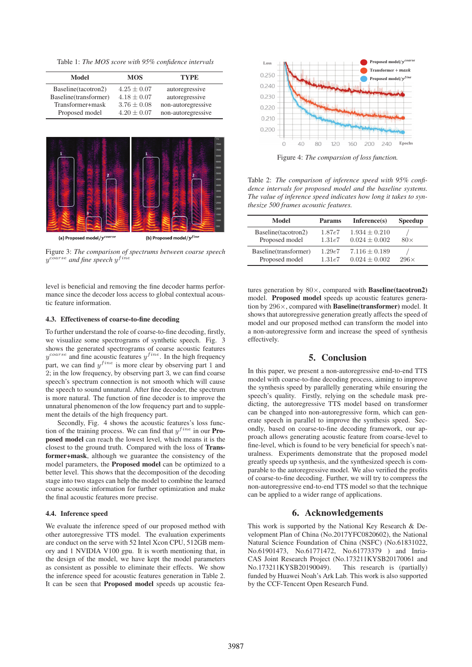Table 1: *The MOS score with 95% confidence intervals*

| Model                 | <b>MOS</b>      | <b>TYPE</b>        |  |
|-----------------------|-----------------|--------------------|--|
| Baseline(tacotron2)   | $4.25 \pm 0.07$ | autoregressive     |  |
| Baseline(transformer) | $4.18 \pm 0.07$ | autoregressive     |  |
| Transformer+mask      | $3.76 + 0.08$   | non-autoregressive |  |
| Proposed model        | $4.20 + 0.07$   | non-autoregressive |  |



Figure 3: *The comparison of spectrums between coarse speech*  $y^{coarse}$  and fine speech  $y^{fine}$ 

level is beneficial and removing the fine decoder harms performance since the decoder loss access to global contextual acoustic feature information.

#### 4.3. Effectiveness of coarse-to-fine decoding

To further understand the role of coarse-to-fine decoding, firstly, we visualize some spectrograms of synthetic speech. Fig. 3 shows the generated spectrograms of coarse acoustic features  $y^{coarse}$  and fine acoustic features  $y^{fine}$ . In the high frequency part, we can find  $y^{fine}$  is more clear by observing part 1 and 2; in the low frequency, by observing part 3, we can find coarse speech's spectrum connection is not smooth which will cause the speech to sound unnatural. After fine decoder, the spectrum is more natural. The function of fine decoder is to improve the unnatural phenomenon of the low frequency part and to supplement the details of the high frequency part.

Secondly, Fig. 4 shows the acoustic features's loss function of the training process. We can find that  $y^{fine}$  in our **Pro**posed model can reach the lowest level, which means it is the closest to the ground truth. Compared with the loss of Transformer+mask, although we guarantee the consistency of the model parameters, the Proposed model can be optimized to a better level. This shows that the decomposition of the decoding stage into two stages can help the model to combine the learned coarse acoustic information for further optimization and make the final acoustic features more precise.

#### 4.4. Inference speed

We evaluate the inference speed of our proposed method with other autoregressive TTS model. The evaluation experiments are conduct on the serve with 52 Intel Xcon CPU, 512GB memory and 1 NVIDIA V100 gpu. It is worth mentioning that, in the design of the model, we have kept the model parameters as consistent as possible to eliminate their effects. We show the inference speed for acoustic features generation in Table 2. It can be seen that Proposed model speeds up acoustic fea-



Figure 4: *The comparsion of loss function.*

Table 2: *The comparison of inference speed with 95% confidence intervals for proposed model and the baseline systems. The value of inference speed indicates how long it takes to synthesize 500 frames acoustic features.*

| Model                 | <b>Params</b> | Inference(s)    | <b>Speedup</b> |
|-----------------------|---------------|-----------------|----------------|
| Baseline(tacotron2)   | 1.87e7        | $1.934 + 0.210$ | $80\times$     |
| Proposed model        | 1.31e7        | $0.024 + 0.002$ |                |
| Baseline(transformer) | 1.29e7        | $7.116 + 0.189$ | $296\times$    |
| Proposed model        | 1.31e7        | $0.024 + 0.002$ |                |

tures generation by  $80 \times$ , compared with **Baseline**(tacotron2) model. Proposed model speeds up acoustic features generation by 296×, compared with Baseline(transformer) model. It shows that autoregressive generation greatly affects the speed of model and our proposed method can transform the model into a non-autoregressive form and increase the speed of synthesis effectively.

### 5. Conclusion

In this paper, we present a non-autoregressive end-to-end TTS model with coarse-to-fine decoding process, aiming to improve the synthesis speed by parallelly generating while ensuring the speech's quality. Firstly, relying on the schedule mask predicting, the autoregressive TTS model based on transformer can be changed into non-autoregressive form, which can generate speech in parallel to improve the synthesis speed. Secondly, based on coarse-to-fine decoding framework, our approach allows generating acoustic feature from coarse-level to fine-level, which is found to be very beneficial for speech's naturalness. Experiments demonstrate that the proposed model greatly speeds up synthesis, and the synthesized speech is comparable to the autoregressive model. We also verified the profits of coarse-to-fine decoding. Further, we will try to compress the non-autoregressive end-to-end TTS model so that the technique can be applied to a wider range of applications.

# 6. Acknowledgements

This work is supported by the National Key Research & Development Plan of China (No.2017YFC0820602), the National Natural Science Foundation of China (NSFC) (No.61831022, No.61901473, No.61771472, No.61773379 ) and Inria-CAS Joint Research Project (No.173211KYSB20170061 and No.173211KYSB20190049). This research is (partially) No.173211KYSB20190049). funded by Huawei Noah's Ark Lab. This work is also supported by the CCF-Tencent Open Research Fund.